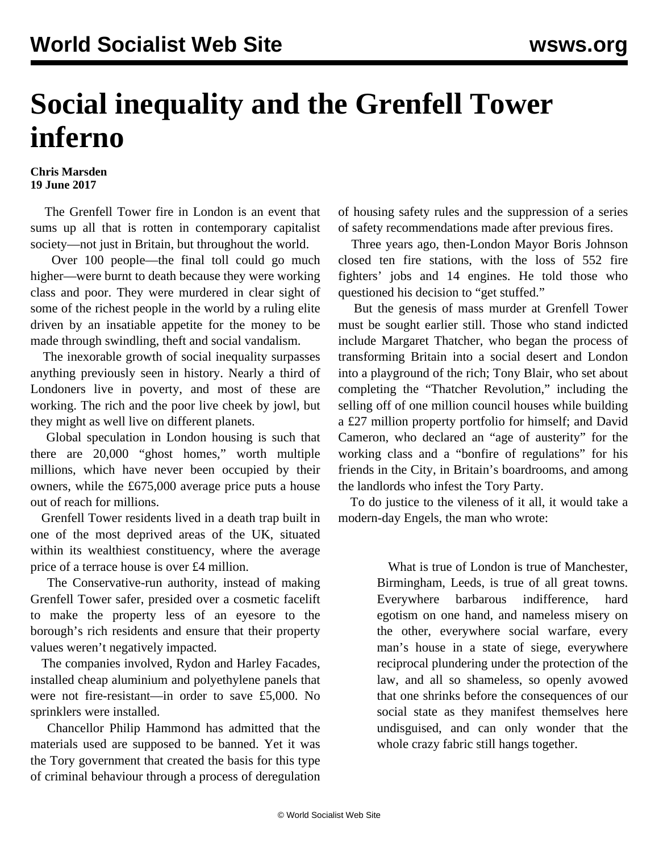## **Social inequality and the Grenfell Tower inferno**

## **Chris Marsden 19 June 2017**

 The Grenfell Tower fire in London is an event that sums up all that is rotten in contemporary capitalist society—not just in Britain, but throughout the world.

 Over 100 people—the final toll could go much higher—were burnt to death because they were working class and poor. They were murdered in clear sight of some of the richest people in the world by a ruling elite driven by an insatiable appetite for the money to be made through swindling, theft and social vandalism.

 The inexorable growth of social inequality surpasses anything previously seen in history. Nearly a third of Londoners live in poverty, and most of these are working. The rich and the poor live cheek by jowl, but they might as well live on different planets.

 Global speculation in London housing is such that there are 20,000 "ghost homes," worth multiple millions, which have never been occupied by their owners, while the £675,000 average price puts a house out of reach for millions.

 Grenfell Tower residents lived in a death trap built in one of the most deprived areas of the UK, situated within its wealthiest constituency, where the average price of a terrace house is over £4 million.

 The Conservative-run authority, instead of making Grenfell Tower safer, presided over a cosmetic facelift to make the property less of an eyesore to the borough's rich residents and ensure that their property values weren't negatively impacted.

 The companies involved, Rydon and Harley Facades, installed cheap aluminium and polyethylene panels that were not fire-resistant—in order to save £5,000. No sprinklers were installed.

 Chancellor Philip Hammond has admitted that the materials used are supposed to be banned. Yet it was the Tory government that created the basis for this type of criminal behaviour through a process of deregulation of housing safety rules and the suppression of a series of safety recommendations made after previous fires.

 Three years ago, then-London Mayor Boris Johnson closed ten fire stations, with the loss of 552 fire fighters' jobs and 14 engines. He told those who questioned his decision to "get stuffed."

 But the genesis of mass murder at Grenfell Tower must be sought earlier still. Those who stand indicted include Margaret Thatcher, who began the process of transforming Britain into a social desert and London into a playground of the rich; Tony Blair, who set about completing the "Thatcher Revolution," including the selling off of one million council houses while building a £27 million property portfolio for himself; and David Cameron, who declared an "age of austerity" for the working class and a "bonfire of regulations" for his friends in the City, in Britain's boardrooms, and among the landlords who infest the Tory Party.

 To do justice to the vileness of it all, it would take a modern-day Engels, the man who wrote:

> What is true of London is true of Manchester, Birmingham, Leeds, is true of all great towns. Everywhere barbarous indifference, hard egotism on one hand, and nameless misery on the other, everywhere social warfare, every man's house in a state of siege, everywhere reciprocal plundering under the protection of the law, and all so shameless, so openly avowed that one shrinks before the consequences of our social state as they manifest themselves here undisguised, and can only wonder that the whole crazy fabric still hangs together.